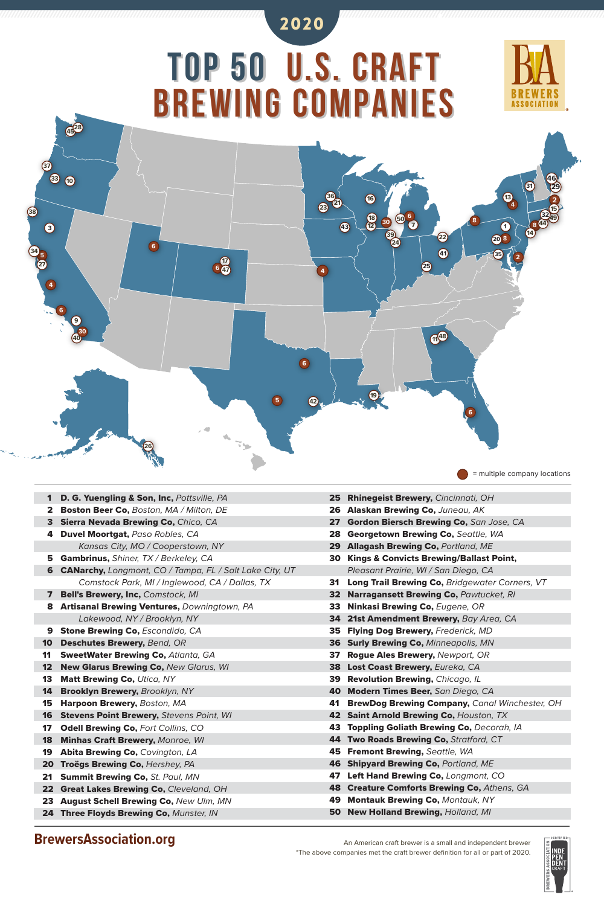An American craft brewer is a small and independent brewer \*The above companies met the craft brewer definition for all or part of 2020.



## **BrewersAssociation.org**

| $\mathbf 1$  | D. G. Yuengling & Son, Inc, Pottsville, PA                     |  |  |  |  |
|--------------|----------------------------------------------------------------|--|--|--|--|
| $\mathbf{2}$ | <b>Boston Beer Co, Boston, MA / Milton, DE</b>                 |  |  |  |  |
| 3            | <b>Sierra Nevada Brewing Co, Chico, CA</b>                     |  |  |  |  |
| 4            | <b>Duvel Moortgat, Paso Robles, CA</b>                         |  |  |  |  |
|              | Kansas City, MO / Cooperstown, NY                              |  |  |  |  |
| 5            | <b>Gambrinus, Shiner, TX / Berkeley, CA</b>                    |  |  |  |  |
| 6            | <b>CANarchy, Longmont, CO / Tampa, FL / Salt Lake City, UT</b> |  |  |  |  |
|              | Comstock Park, MI / Inglewood, CA / Dallas, TX                 |  |  |  |  |
| 7            | <b>Bell's Brewery, Inc, Comstock, MI</b>                       |  |  |  |  |
| 8            | <b>Artisanal Brewing Ventures, Downingtown, PA</b>             |  |  |  |  |
|              | Lakewood, NY / Brooklyn, NY                                    |  |  |  |  |
| 9            | <b>Stone Brewing Co, Escondido, CA</b>                         |  |  |  |  |
| 10           | <b>Deschutes Brewery, Bend, OR</b>                             |  |  |  |  |
| 11           | <b>SweetWater Brewing Co, Atlanta, GA</b>                      |  |  |  |  |
| 12           | <b>New Glarus Brewing Co, New Glarus, WI</b>                   |  |  |  |  |
| 13           | <b>Matt Brewing Co, Utica, NY</b>                              |  |  |  |  |
| 14           | Brooklyn Brewery, Brooklyn, NY                                 |  |  |  |  |
| 15           | Harpoon Brewery, Boston, MA                                    |  |  |  |  |
| 16           | <b>Stevens Point Brewery, Stevens Point, WI</b>                |  |  |  |  |
| $17\,$       | <b>Odell Brewing Co, Fort Collins, CO</b>                      |  |  |  |  |
| 18           | <b>Minhas Craft Brewery, Monroe, WI</b>                        |  |  |  |  |
| 19           | <b>Abita Brewing Co, Covington, LA</b>                         |  |  |  |  |
| 20           | Troëgs Brewing Co, Hershey, PA                                 |  |  |  |  |
| 21           | <b>Summit Brewing Co, St. Paul, MN</b>                         |  |  |  |  |
| 22           | <b>Great Lakes Brewing Co, Cleveland, OH</b>                   |  |  |  |  |
| 23           | <b>August Schell Brewing Co, New Ulm, MN</b>                   |  |  |  |  |
| 24           | Three Floyds Brewing Co, Munster, IN                           |  |  |  |  |



25 Rhinegeist Brewery, *Cincinnati, OH* 26 Alaskan Brewing Co, *Juneau, AK* 27 Gordon Biersch Brewing Co, *San Jose, CA* 28 Georgetown Brewing Co, *Seattle, WA* 29 Allagash Brewing Co, *Portland, ME* 30 Kings & Convicts Brewing/Ballast Point,  *Pleasant Prairie, WI / San Diego, CA* 31 Long Trail Brewing Co, *Bridgewater Corners, VT* 32 Narragansett Brewing Co, *Pawtucket, RI* 33 Ninkasi Brewing Co, *Eugene, OR* 34 21st Amendment Brewery, *Bay Area, CA* 35 Flying Dog Brewery, *Frederick, MD* 36 Surly Brewing Co, *Minneapolis, MN* 37 Rogue Ales Brewery, *Newport, OR* 38 Lost Coast Brewery, *Eureka, CA* 39 Revolution Brewing, *Chicago, IL* 40 Modern Times Beer, *San Diego, CA* 41 BrewDog Brewing Company, *Canal Winchester, OH* 42 Saint Arnold Brewing Co, *Houston, TX* 43 Toppling Goliath Brewing Co, *Decorah, IA* 44 Two Roads Brewing Co, *Stratford, CT* 45 Fremont Brewing, *Seattle, WA* 46 Shipyard Brewing Co, *Portland, ME* 47 Left Hand Brewing Co, *Longmont, CO* 48 Creature Comforts Brewing Co, *Athens, GA* 49 Montauk Brewing Co, *Montauk, NY* 50 New Holland Brewing, *Holland, MI*